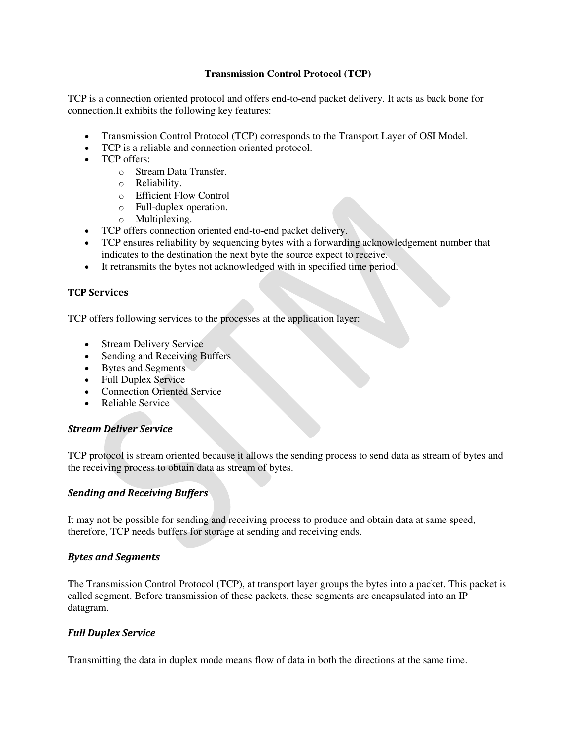### **Transmission Control Protocol (TCP)**

TCP is a connection oriented protocol and offers end-to-end packet delivery. It acts as back bone for connection.It exhibits the following key features:

- Transmission Control Protocol (TCP) corresponds to the Transport Layer of OSI Model.
- TCP is a reliable and connection oriented protocol.
- TCP offers:
	- o Stream Data Transfer.
	- o Reliability.
	- o Efficient Flow Control
	- o Full-duplex operation.
	- o Multiplexing.
- TCP offers connection oriented end-to-end packet delivery.
- TCP ensures reliability by sequencing bytes with a forwarding acknowledgement number that indicates to the destination the next byte the source expect to receive.
- It retransmits the bytes not acknowledged with in specified time period.

### **TCP Services**

TCP offers following services to the processes at the application layer:

- Stream Delivery Service
- Sending and Receiving Buffers
- Bytes and Segments
- Full Duplex Service
- Connection Oriented Service
- Reliable Service

### *Stream Deliver Service*

TCP protocol is stream oriented because it allows the sending process to send data as stream of bytes and the receiving process to obtain data as stream of bytes.

### *Sending and Receiving Buffers*

It may not be possible for sending and receiving process to produce and obtain data at same speed, therefore, TCP needs buffers for storage at sending and receiving ends.

### *Bytes and Segments*

The Transmission Control Protocol (TCP), at transport layer groups the bytes into a packet. This packet is called segment. Before transmission of these packets, these segments are encapsulated into an IP datagram.

### *Full Duplex Service*

Transmitting the data in duplex mode means flow of data in both the directions at the same time.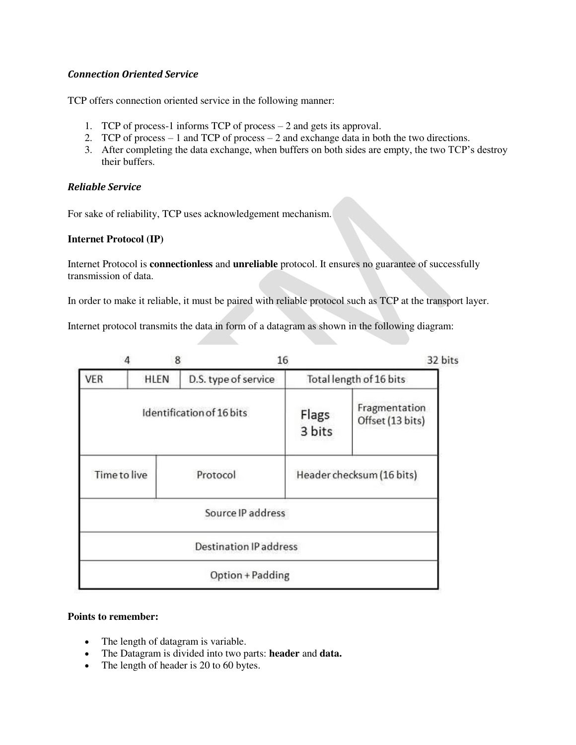### *Connection Oriented Service*

TCP offers connection oriented service in the following manner:

- 1. TCP of process-1 informs TCP of process 2 and gets its approval.
- 2. TCP of process 1 and TCP of process 2 and exchange data in both the two directions.
- 3. After completing the data exchange, when buffers on both sides are empty, the two TCP's destroy their buffers.

### *Reliable Service*

For sake of reliability, TCP uses acknowledgement mechanism.

### **Internet Protocol (IP)**

Internet Protocol is **connectionless** and **unreliable** protocol. It ensures no guarantee of successfully transmission of data.

In order to make it reliable, it must be paired with reliable protocol such as TCP at the transport layer.

Internet protocol transmits the data in form of a datagram as shown in the following diagram:

|                     | 8           | 16                            |                 | 32 bits                           |
|---------------------|-------------|-------------------------------|-----------------|-----------------------------------|
| <b>VER</b>          | <b>HLEN</b> | D.S. type of service          |                 | Total length of 16 bits           |
|                     |             | Identification of 16 bits     | Flags<br>3 bits | Fragmentation<br>Offset (13 bits) |
| <b>Time to live</b> |             | Protocol                      |                 | Header checksum (16 bits)         |
|                     |             | Source IP address             |                 |                                   |
|                     |             | <b>Destination IP address</b> |                 |                                   |
|                     |             | Option + Padding              |                 |                                   |

### **Points to remember:**

- The length of datagram is variable.
- The Datagram is divided into two parts: **header** and **data.**
- The length of header is 20 to 60 bytes.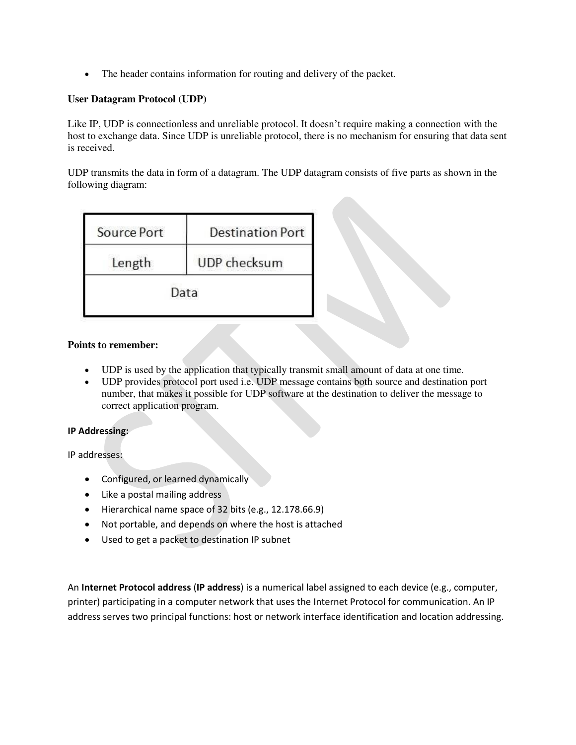The header contains information for routing and delivery of the packet.

### **User Datagram Protocol (UDP)**

Like IP, UDP is connectionless and unreliable protocol. It doesn't require making a connection with the host to exchange data. Since UDP is unreliable protocol, there is no mechanism for ensuring that data sent is received.

UDP transmits the data in form of a datagram. The UDP datagram consists of five parts as shown in the following diagram:

| Source Port | <b>Destination Port</b> |  |
|-------------|-------------------------|--|
| Length      | UDP checksum            |  |
| Data        |                         |  |

### **Points to remember:**

- UDP is used by the application that typically transmit small amount of data at one time.
- UDP provides protocol port used i.e. UDP message contains both source and destination port number, that makes it possible for UDP software at the destination to deliver the message to correct application program.

### **IP Addressing:**

IP addresses:

- Configured, or learned dynamically
- Like a postal mailing address
- Hierarchical name space of 32 bits (e.g., 12.178.66.9)
- Not portable, and depends on where the host is attached
- Used to get a packet to destination IP subnet

An **Internet Protocol address** (**IP address**) is a numerical label assigned to each device (e.g., computer, printer) participating in a [computer network](https://en.wikipedia.org/wiki/Computer_network) that uses the [Internet Protocol](https://en.wikipedia.org/wiki/Internet_Protocol) for communication. An IP address serves two principal functions: host or network interface [identification](https://en.wikipedia.org/wiki/Identification_%28information%29) and locatio[n addressing.](https://en.wikipedia.org/wiki/Network_address)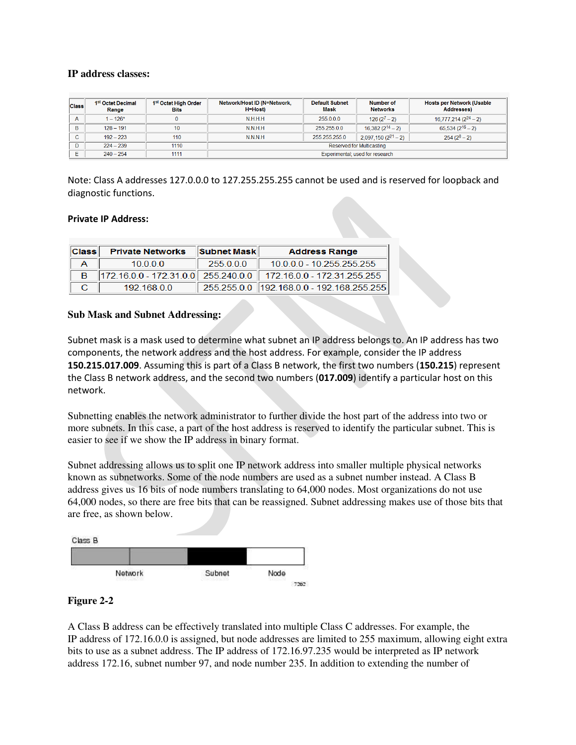### **IP address classes:**

| <b>Class</b> | 1 <sup>st</sup> Octet Decimal<br>Range | 1 <sup>st</sup> Octet High Order<br><b>Bits</b> | Network/Host ID (N=Network,<br><b>H=Host</b> ) | <b>Default Subnet</b><br>Mask | Number of<br><b>Networks</b> | <b>Hosts per Network (Usable</b><br><b>Addresses)</b> |
|--------------|----------------------------------------|-------------------------------------------------|------------------------------------------------|-------------------------------|------------------------------|-------------------------------------------------------|
| $\mathsf{A}$ | $1 - 126^*$                            |                                                 | N.H.H.H                                        | 255.0.0.0                     | $126(2^7-2)$                 | $16,777,214(2^{24}-2)$                                |
| B            | $128 - 191$                            | 10                                              | N.N.H.H                                        | 255.255.0.0                   | $16,382(2^{14}-2)$           | $65,534(2^{16}-2)$                                    |
| C            | $192 - 223$                            | 110                                             | <b>NNNH</b>                                    | 255 255 255 0                 | $2,097,150(2^{21}-2)$        | $254(2^8-2)$                                          |
| D            | $224 - 239$                            | 1110                                            | <b>Reserved for Multicasting</b>               |                               |                              |                                                       |
|              | $240 - 254$                            | 1111                                            | Experimental; used for research                |                               |                              |                                                       |

Note: Class A addresses 127.0.0.0 to 127.255.255.255 cannot be used and is reserved for loopback and diagnostic functions.

### **Private IP Address:**

| Class | <b>Private Networks</b> | <b>Subnet Mask</b> | <b>Address Range</b>                                            |
|-------|-------------------------|--------------------|-----------------------------------------------------------------|
|       | 10000                   | 255000             | 10.0.0.0 - 10.255.255.255                                       |
|       |                         |                    | 172.16.0.0 - 172.31.0.0 255.240.0.0 172.16.0.0 - 172.31.255.255 |
|       | 19216800                |                    | 255.255.0.0 192.168.0.0 - 192.168.255.255                       |

### **Sub Mask and Subnet Addressing:**

Subnet mask is a [mask](http://www.webopedia.com/TERM/M/mask.html) used to determine what [subnet](http://www.webopedia.com/TERM/S/subnet.html) an [IP address](http://www.webopedia.com/TERM/I/IP_address.html) belongs to. An IP address has two components, the network address and th[e host](http://www.webopedia.com/TERM/H/host.html) address. For example, consider the IP address **150.215.017.009**. Assuming this is part of a Class B network, the first two numbers (**150.215**) represent the Class B network address, and the second two numbers (**017.009**) identify a particular host on this network.

Subnetting enables the network administrator to further divide the host part of the address into two or more subnets. In this case, a part of the host address is reserved to identify the particular subnet. This is easier to see if we show the IP address in binary format.

Subnet addressing allows us to split one IP network address into smaller multiple physical networks known as subnetworks. Some of the node numbers are used as a subnet number instead. A Class B address gives us 16 bits of node numbers translating to 64,000 nodes. Most organizations do not use 64,000 nodes, so there are free bits that can be reassigned. Subnet addressing makes use of those bits that are free, as shown below.



### **Figure 2-2**

A Class B address can be effectively translated into multiple Class C addresses. For example, the IP address of 172.16.0.0 is assigned, but node addresses are limited to 255 maximum, allowing eight extra bits to use as a subnet address. The IP address of 172.16.97.235 would be interpreted as IP network address 172.16, subnet number 97, and node number 235. In addition to extending the number of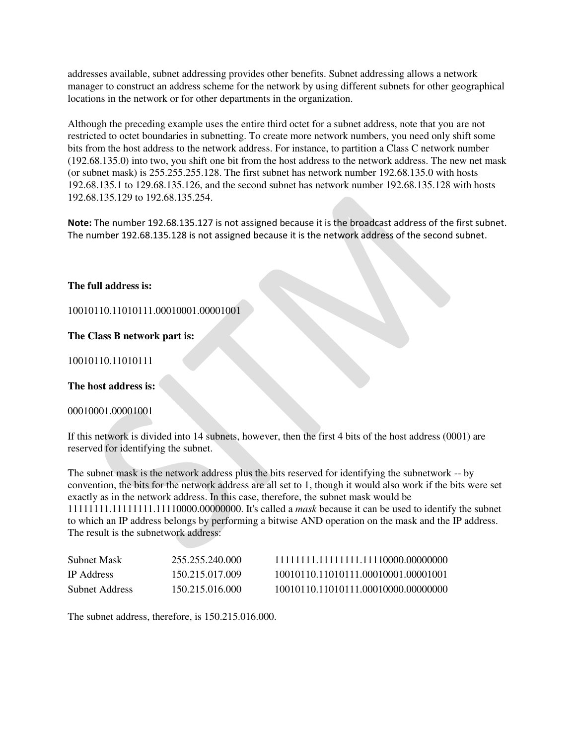addresses available, subnet addressing provides other benefits. Subnet addressing allows a network manager to construct an address scheme for the network by using different subnets for other geographical locations in the network or for other departments in the organization.

Although the preceding example uses the entire third octet for a subnet address, note that you are not restricted to octet boundaries in subnetting. To create more network numbers, you need only shift some bits from the host address to the network address. For instance, to partition a Class C network number (192.68.135.0) into two, you shift one bit from the host address to the network address. The new net mask (or subnet mask) is 255.255.255.128. The first subnet has network number 192.68.135.0 with hosts 192.68.135.1 to 129.68.135.126, and the second subnet has network number 192.68.135.128 with hosts 192.68.135.129 to 192.68.135.254.

**Note:** The number 192.68.135.127 is not assigned because it is the broadcast address of the first subnet. The number 192.68.135.128 is not assigned because it is the network address of the second subnet.

### **The full address is:**

10010110.11010111.00010001.00001001

**The Class B network part is:**

10010110.11010111

**The host address is:**

00010001.00001001

If this network is divided into 14 subnets, however, then the first 4 bits of the host address (0001) are reserved for identifying the subnet.

The subnet mask is the network address plus the bits reserved for identifying the subnetwork -- by convention, the bits for the network address are all set to 1, though it would also work if the bits were set exactly as in the network address. In this case, therefore, the subnet mask would be 11111111.11111111.11110000.00000000. It's called a *[mask](http://www.webopedia.com/TERM/M/mask.html)* because it can be used to identify the subnet to which an IP address belongs by performing a [bitwise](http://www.webopedia.com/TERM/B/bitwise_operator.html) [AND operation](http://www.webopedia.com/TERM/A/AND_operator.html) on the mask and the IP address. The result is the subnetwork address:

| Subnet Mask       | 255.255.240.000 | 11111111.11111111.11110000.00000000 |
|-------------------|-----------------|-------------------------------------|
| <b>IP</b> Address | 150.215.017.009 | 10010110.11010111.00010001.00001001 |
| Subnet Address    | 150.215.016.000 | 10010110.11010111.00010000.00000000 |

The subnet address, therefore, is 150.215.016.000.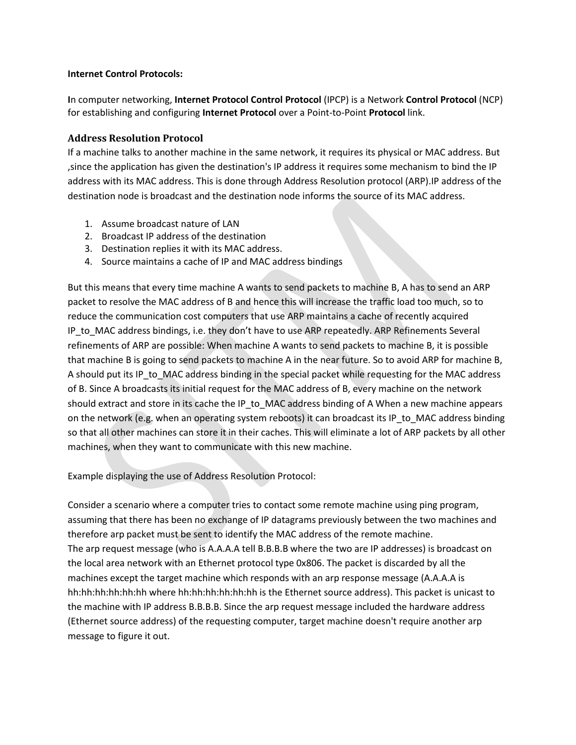### **Internet Control Protocols:**

**I**n computer networking, **Internet Protocol Control Protocol** (IPCP) is a Network **Control Protocol** (NCP) for establishing and configuring **Internet Protocol** over a Point-to-Point **Protocol** link.

### **Address Resolution Protocol**

If a machine talks to another machine in the same network, it requires its physical or MAC address. But ,since the application has given the destination's IP address it requires some mechanism to bind the IP address with its MAC address. This is done through Address Resolution protocol (ARP).IP address of the destination node is broadcast and the destination node informs the source of its MAC address.

- 1. Assume broadcast nature of LAN
- 2. Broadcast IP address of the destination
- 3. Destination replies it with its MAC address.
- 4. Source maintains a cache of IP and MAC address bindings

But this means that every time machine A wants to send packets to machine B, A has to send an ARP packet to resolve the MAC address of B and hence this will increase the traffic load too much, so to reduce the communication cost computers that use ARP maintains a cache of recently acquired IP\_to\_MAC address bindings, i.e. they don't have to use ARP repeatedly. ARP Refinements Several refinements of ARP are possible: When machine A wants to send packets to machine B, it is possible that machine B is going to send packets to machine A in the near future. So to avoid ARP for machine B, A should put its IP\_to\_MAC address binding in the special packet while requesting for the MAC address of B. Since A broadcasts its initial request for the MAC address of B, every machine on the network should extract and store in its cache the IP\_to\_MAC address binding of A When a new machine appears on the network (e.g. when an operating system reboots) it can broadcast its IP\_to\_MAC address binding so that all other machines can store it in their caches. This will eliminate a lot of ARP packets by all other machines, when they want to communicate with this new machine.

Example displaying the use of Address Resolution Protocol:

Consider a scenario where a computer tries to contact some remote machine using ping program, assuming that there has been no exchange of IP datagrams previously between the two machines and therefore arp packet must be sent to identify the MAC address of the remote machine. The arp request message (who is A.A.A.A tell B.B.B.B where the two are IP addresses) is broadcast on the local area network with an Ethernet protocol type 0x806. The packet is discarded by all the machines except the target machine which responds with an arp response message (A.A.A.A is hh:hh:hh:hh:hh:hh where hh:hh:hh:hh:hh:hh is the Ethernet source address). This packet is unicast to the machine with IP address B.B.B.B. Since the arp request message included the hardware address (Ethernet source address) of the requesting computer, target machine doesn't require another arp message to figure it out.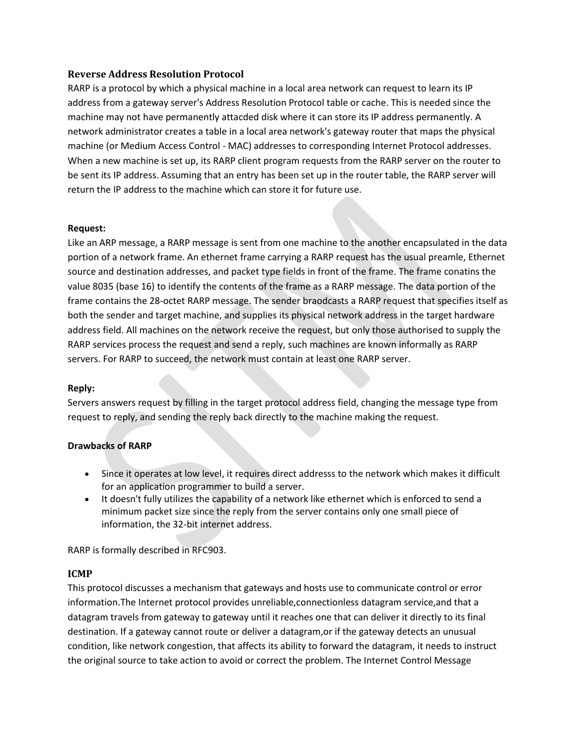### **Reverse Address Resolution Protocol**

RARP is a protocol by which a physical machine in a local area network can request to learn its IP address from a gateway server's Address Resolution Protocol table or cache. This is needed since the machine may not have permanently attacded disk where it can store its IP address permanently. A network administrator creates a table in a local area network's gateway router that maps the physical machine (or Medium Access Control - MAC) addresses to corresponding Internet Protocol addresses. When a new machine is set up, its RARP client program requests from the RARP server on the router to be sent its IP address. Assuming that an entry has been set up in the router table, the RARP server will return the IP address to the machine which can store it for future use.

### **Request:**

Like an ARP message, a RARP message is sent from one machine to the another encapsulated in the data portion of a network frame. An ethernet frame carrying a RARP request has the usual preamle, Ethernet source and destination addresses, and packet type fields in front of the frame. The frame conatins the value 8035 (base 16) to identify the contents of the frame as a RARP message. The data portion of the frame contains the 28-octet RARP message. The sender braodcasts a RARP request that specifies itself as both the sender and target machine, and supplies its physical network address in the target hardware address field. All machines on the network receive the request, but only those authorised to supply the RARP services process the request and send a reply, such machines are known informally as RARP servers. For RARP to succeed, the network must contain at least one RARP server.

### **Reply:**

Servers answers request by filling in the target protocol address field, changing the message type from request to reply, and sending the reply back directly to the machine making the request.

### **Drawbacks of RARP**

- Since it operates at low level, it requires direct addresss to the network which makes it difficult for an application programmer to build a server.
- It doesn't fully utilizes the capability of a network like ethernet which is enforced to send a minimum packet size since the reply from the server contains only one small piece of information, the 32-bit internet address.

RARP is formally described in RFC903.

### **ICMP**

This protocol discusses a mechanism that gateways and hosts use to communicate control or error information.The Internet protocol provides unreliable,connectionless datagram service,and that a datagram travels from gateway to gateway until it reaches one that can deliver it directly to its final destination. If a gateway cannot route or deliver a datagram,or if the gateway detects an unusual condition, like network congestion, that affects its ability to forward the datagram, it needs to instruct the original source to take action to avoid or correct the problem. The Internet Control Message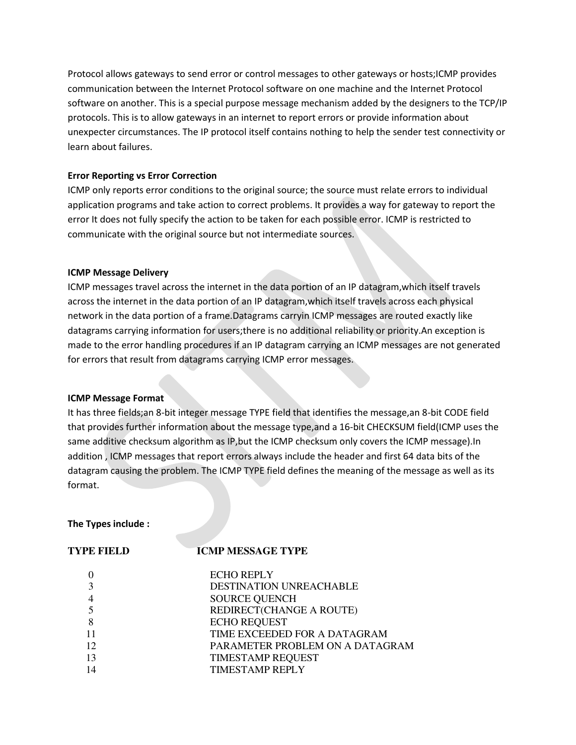Protocol allows gateways to send error or control messages to other gateways or hosts;ICMP provides communication between the Internet Protocol software on one machine and the Internet Protocol software on another. This is a special purpose message mechanism added by the designers to the TCP/IP protocols. This is to allow gateways in an internet to report errors or provide information about unexpecter circumstances. The IP protocol itself contains nothing to help the sender test connectivity or learn about failures.

### **Error Reporting vs Error Correction**

ICMP only reports error conditions to the original source; the source must relate errors to individual application programs and take action to correct problems. It provides a way for gateway to report the error It does not fully specify the action to be taken for each possible error. ICMP is restricted to communicate with the original source but not intermediate sources.

### **ICMP Message Delivery**

ICMP messages travel across the internet in the data portion of an IP datagram,which itself travels across the internet in the data portion of an IP datagram,which itself travels across each physical network in the data portion of a frame.Datagrams carryin ICMP messages are routed exactly like datagrams carrying information for users;there is no additional reliability or priority.An exception is made to the error handling procedures if an IP datagram carrying an ICMP messages are not generated for errors that result from datagrams carrying ICMP error messages.

### **ICMP Message Format**

It has three fields;an 8-bit integer message TYPE field that identifies the message,an 8-bit CODE field that provides further information about the message type,and a 16-bit CHECKSUM field(ICMP uses the same additive checksum algorithm as IP, but the ICMP checksum only covers the ICMP message). In addition , ICMP messages that report errors always include the header and first 64 data bits of the datagram causing the problem. The ICMP TYPE field defines the meaning of the message as well as its format.

### **The Types include :**

# **TYPE FIELD ICMP MESSAGE TYPE**

|    | <b>ECHO REPLY</b>               |
|----|---------------------------------|
| 3  | <b>DESTINATION UNREACHABLE</b>  |
|    | <b>SOURCE QUENCH</b>            |
|    | REDIRECT(CHANGE A ROUTE)        |
| 8  | <b>ECHO REQUEST</b>             |
|    | TIME EXCEEDED FOR A DATAGRAM    |
| 12 | PARAMETER PROBLEM ON A DATAGRAM |
| 13 | <b>TIMESTAMP REQUEST</b>        |
| 14 | <b>TIMESTAMP REPLY</b>          |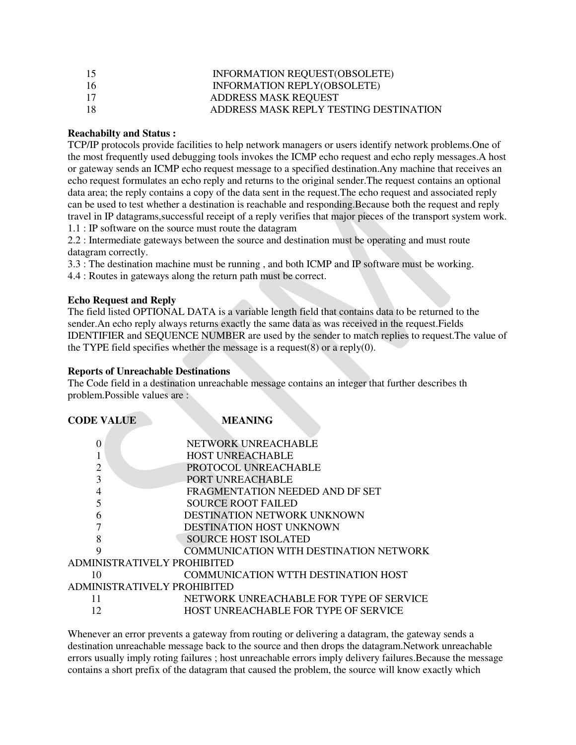| 15 | INFORMATION REQUEST(OBSOLETE)          |
|----|----------------------------------------|
| 16 | INFORMATION REPLY(OBSOLETE)            |
| 17 | <b>ADDRESS MASK REQUEST</b>            |
| 18 | ADDRESS MASK REPLY TESTING DESTINATION |

### **Reachabilty and Status :**

TCP/IP protocols provide facilities to help network managers or users identify network problems.One of the most frequently used debugging tools invokes the ICMP echo request and echo reply messages.A host or gateway sends an ICMP echo request message to a specified destination.Any machine that receives an echo request formulates an echo reply and returns to the original sender.The request contains an optional data area; the reply contains a copy of the data sent in the request.The echo request and associated reply can be used to test whether a destination is reachable and responding.Because both the request and reply travel in IP datagrams,successful receipt of a reply verifies that major pieces of the transport system work. 1.1 : IP software on the source must route the datagram

2.2 : Intermediate gateways between the source and destination must be operating and must route datagram correctly.

3.3 : The destination machine must be running , and both ICMP and IP software must be working.

4.4 : Routes in gateways along the return path must be correct.

### **Echo Request and Reply**

The field listed OPTIONAL DATA is a variable length field that contains data to be returned to the sender.An echo reply always returns exactly the same data as was received in the request.Fields IDENTIFIER and SEQUENCE NUMBER are used by the sender to match replies to request.The value of the TYPE field specifies whether the message is a request(8) or a reply(0).

### **Reports of Unreachable Destinations**

The Code field in a destination unreachable message contains an integer that further describes th problem.Possible values are :

| <b>CODE VALUE</b>                  | <b>MEANING</b>                                |  |
|------------------------------------|-----------------------------------------------|--|
| 0                                  | NETWORK UNREACHABLE                           |  |
|                                    | <b>HOST UNREACHABLE</b>                       |  |
| $\overline{2}$                     | PROTOCOL UNREACHABLE                          |  |
| 3                                  | PORT UNREACHABLE                              |  |
| 4                                  | FRAGMENTATION NEEDED AND DF SET               |  |
|                                    | <b>SOURCE ROOT FAILED</b>                     |  |
| 6                                  | DESTINATION NETWORK UNKNOWN                   |  |
|                                    | <b>DESTINATION HOST UNKNOWN</b>               |  |
| 8                                  | <b>SOURCE HOST ISOLATED</b>                   |  |
| 9                                  | <b>COMMUNICATION WITH DESTINATION NETWORK</b> |  |
| ADMINISTRATIVELY PROHIBITED        |                                               |  |
| 10                                 | <b>COMMUNICATION WTTH DESTINATION HOST</b>    |  |
| <b>ADMINISTRATIVELY PROHIBITED</b> |                                               |  |
| 11                                 | NETWORK UNREACHABLE FOR TYPE OF SERVICE       |  |
| 12                                 | HOST UNREACHABLE FOR TYPE OF SERVICE          |  |
|                                    |                                               |  |

Whenever an error prevents a gateway from routing or delivering a datagram, the gateway sends a destination unreachable message back to the source and then drops the datagram.Network unreachable errors usually imply roting failures ; host unreachable errors imply delivery failures.Because the message contains a short prefix of the datagram that caused the problem, the source will know exactly which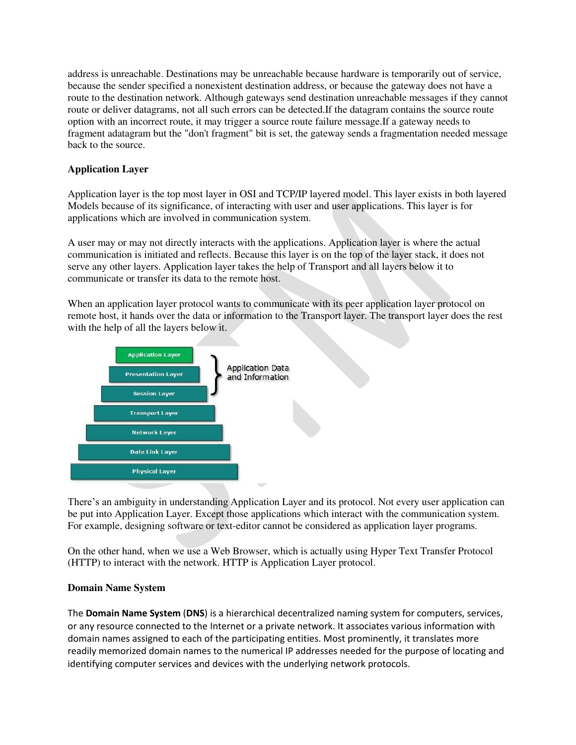address is unreachable. Destinations may be unreachable because hardware is temporarily out of service, because the sender specified a nonexistent destination address, or because the gateway does not have a route to the destination network. Although gateways send destination unreachable messages if they cannot route or deliver datagrams, not all such errors can be detected.If the datagram contains the source route option with an incorrect route, it may trigger a source route failure message.If a gateway needs to fragment adatagram but the "don't fragment" bit is set, the gateway sends a fragmentation needed message back to the source.

### **Application Layer**

Application layer is the top most layer in OSI and TCP/IP layered model. This layer exists in both layered Models because of its significance, of interacting with user and user applications. This layer is for applications which are involved in communication system.

A user may or may not directly interacts with the applications. Application layer is where the actual communication is initiated and reflects. Because this layer is on the top of the layer stack, it does not serve any other layers. Application layer takes the help of Transport and all layers below it to communicate or transfer its data to the remote host.

When an application layer protocol wants to communicate with its peer application layer protocol on remote host, it hands over the data or information to the Transport layer. The transport layer does the rest with the help of all the layers below it.



There's an ambiguity in understanding Application Layer and its protocol. Not every user application can be put into Application Layer. Except those applications which interact with the communication system. For example, designing software or text-editor cannot be considered as application layer programs.

On the other hand, when we use a Web Browser, which is actually using Hyper Text Transfer Protocol (HTTP) to interact with the network. HTTP is Application Layer protocol.

### **Domain Name System**

The **Domain Name System** (**DNS**) is a [hierarchical](https://en.wikipedia.org/wiki/Hierarchical) decentralized naming system for computers, services, or any resource connected to the [Internet](https://en.wikipedia.org/wiki/Internet) or a private network. It associates various information with [domain names](https://en.wikipedia.org/wiki/Domain_name) assigned to each of the participating entities. Most prominently, it translates more readily memorized domain names to the numerical [IP addresses](https://en.wikipedia.org/wiki/IP_address) needed for the purpose of locating and identifying computer services and devices with the underlying network protocols.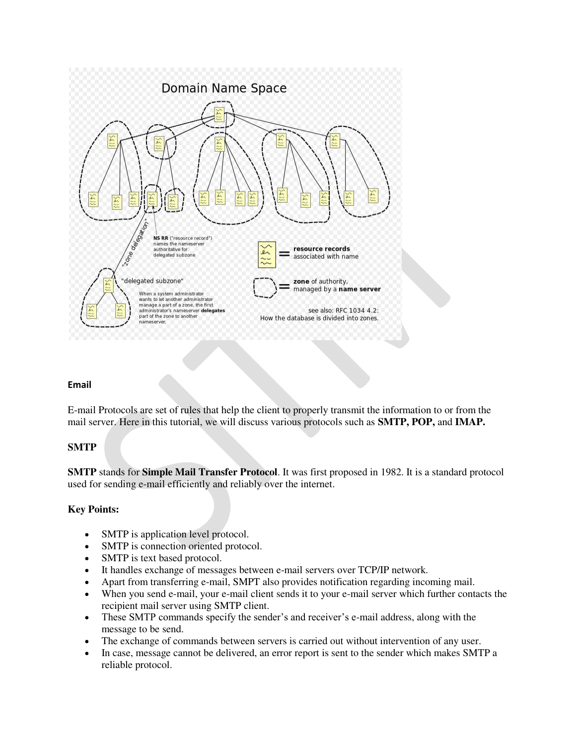

### **Email**

E-mail Protocols are set of rules that help the client to properly transmit the information to or from the mail server. Here in this tutorial, we will discuss various protocols such as **SMTP, POP,** and **IMAP.**

### **SMTP**

**SMTP** stands for **Simple Mail Transfer Protocol**. It was first proposed in 1982. It is a standard protocol used for sending e-mail efficiently and reliably over the internet.

### **Key Points:**

- SMTP is application level protocol.
- SMTP is connection oriented protocol.
- SMTP is text based protocol.
- It handles exchange of messages between e-mail servers over TCP/IP network.
- Apart from transferring e-mail, SMPT also provides notification regarding incoming mail.
- When you send e-mail, your e-mail client sends it to your e-mail server which further contacts the recipient mail server using SMTP client.
- These SMTP commands specify the sender's and receiver's e-mail address, along with the message to be send.
- The exchange of commands between servers is carried out without intervention of any user.
- In case, message cannot be delivered, an error report is sent to the sender which makes SMTP a reliable protocol.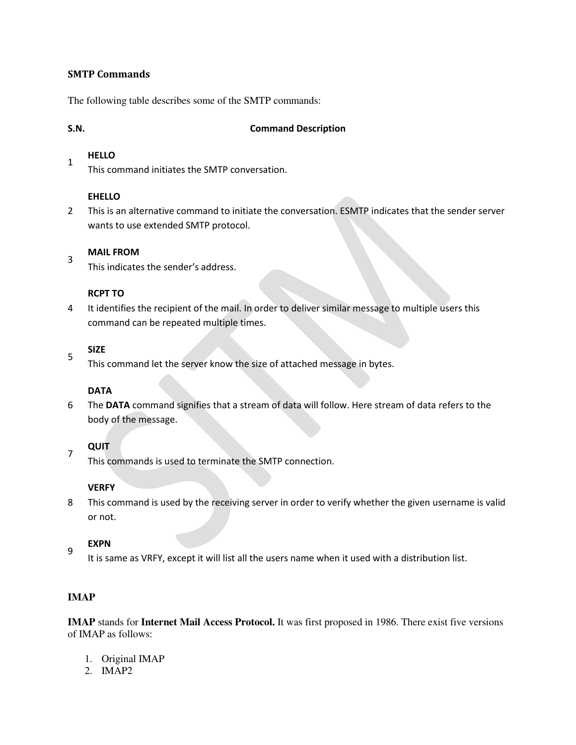### **SMTP Commands**

The following table describes some of the SMTP commands:

3

### **S.N. Command Description**

#### 1 **HELLO**

This command initiates the SMTP conversation.

### **EHELLO**

2 This is an alternative command to initiate the conversation. ESMTP indicates that the sender server wants to use extended SMTP protocol.

### **MAIL FROM**

This indicates the sender's address.

### **RCPT TO**

4 It identifies the recipient of the mail. In order to deliver similar message to multiple users this command can be repeated multiple times.

#### 5 **SIZE**

This command let the server know the size of attached message in bytes.

### **DATA**

6 The **DATA** command signifies that a stream of data will follow. Here stream of data refers to the body of the message.

### **QUIT**

7

This commands is used to terminate the SMTP connection.

### **VERFY**

8 This command is used by the receiving server in order to verify whether the given username is valid or not.

### 9 **EXPN**

It is same as VRFY, except it will list all the users name when it used with a distribution list.

### **IMAP**

**IMAP** stands for **Internet Mail Access Protocol.** It was first proposed in 1986. There exist five versions of IMAP as follows:

- 1. Original IMAP
- 2. IMAP2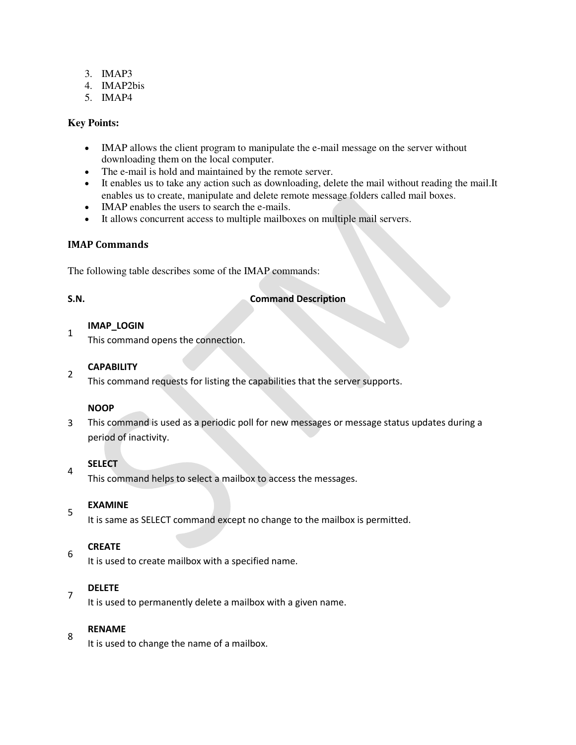- 3. IMAP3
- 4. IMAP2bis
- 5. IMAP4

### **Key Points:**

- IMAP allows the client program to manipulate the e-mail message on the server without downloading them on the local computer.
- The e-mail is hold and maintained by the remote server.
- It enables us to take any action such as downloading, delete the mail without reading the mail.It enables us to create, manipulate and delete remote message folders called mail boxes.
- IMAP enables the users to search the e-mails.
- It allows concurrent access to multiple mailboxes on multiple mail servers.

### **IMAP Commands**

The following table describes some of the IMAP commands:

1

4

7

### **S.N. Command Description**

### **IMAP\_LOGIN**

This command opens the connection.

#### 2 **CAPABILITY**

This command requests for listing the capabilities that the server supports.

### **NOOP**

3 This command is used as a periodic poll for new messages or message status updates during a period of inactivity.

### **SELECT**

This command helps to select a mailbox to access the messages.

### 5 **EXAMINE**

It is same as SELECT command except no change to the mailbox is permitted.

### 6 **CREATE**

It is used to create mailbox with a specified name.

### **DELETE**

It is used to permanently delete a mailbox with a given name.

### 8 **RENAME**

It is used to change the name of a mailbox.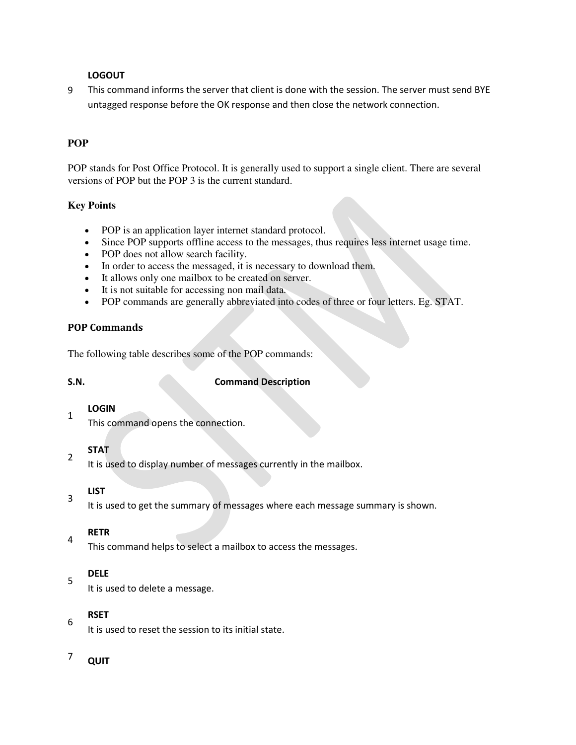### **LOGOUT**

9 This command informs the server that client is done with the session. The server must send BYE untagged response before the OK response and then close the network connection.

## **POP**

POP stands for Post Office Protocol. It is generally used to support a single client. There are several versions of POP but the POP 3 is the current standard.

### **Key Points**

- POP is an application layer internet standard protocol.
- Since POP supports offline access to the messages, thus requires less internet usage time.
- POP does not allow search facility.
- In order to access the messaged, it is necessary to download them.
- It allows only one mailbox to be created on server.
- It is not suitable for accessing non mail data.
- POP commands are generally abbreviated into codes of three or four letters. Eg. STAT.

### **POP Commands**

The following table describes some of the POP commands:

2

4

5

6

### **S.N. Command Description**

#### 1 **LOGIN**

This command opens the connection.

# **STAT**

It is used to display number of messages currently in the mailbox.

#### 3 **LIST**

It is used to get the summary of messages where each message summary is shown.

### **RETR**

This command helps to select a mailbox to access the messages.

### **DELE**

It is used to delete a message.

### **RSET**

It is used to reset the session to its initial state.

# $7$  QUIT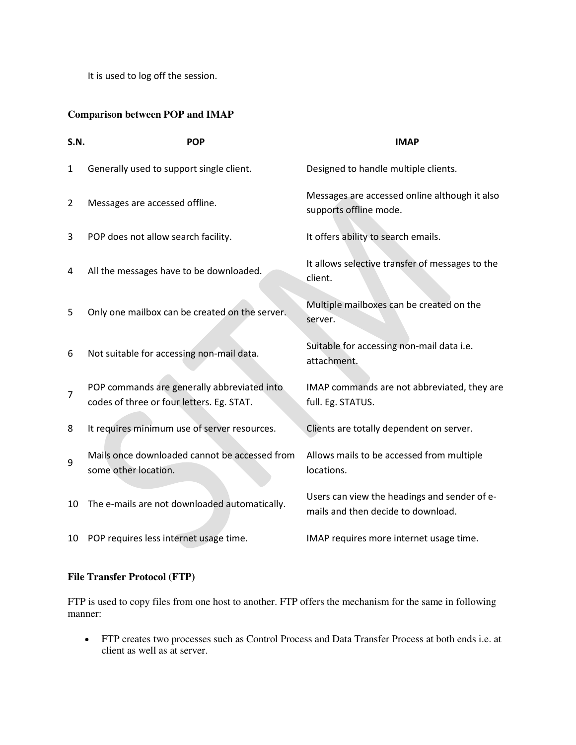It is used to log off the session.

## **Comparison between POP and IMAP**

| <b>S.N.</b>    | <b>POP</b>                                                                               | <b>IMAP</b>                                                                        |
|----------------|------------------------------------------------------------------------------------------|------------------------------------------------------------------------------------|
| $\mathbf{1}$   | Generally used to support single client.                                                 | Designed to handle multiple clients.                                               |
| $\overline{2}$ | Messages are accessed offline.                                                           | Messages are accessed online although it also<br>supports offline mode.            |
| 3              | POP does not allow search facility.                                                      | It offers ability to search emails.                                                |
| 4              | All the messages have to be downloaded.                                                  | It allows selective transfer of messages to the<br>client.                         |
| 5              | Only one mailbox can be created on the server.                                           | Multiple mailboxes can be created on the<br>server.                                |
| 6              | Not suitable for accessing non-mail data.                                                | Suitable for accessing non-mail data i.e.<br>attachment.                           |
| $\overline{7}$ | POP commands are generally abbreviated into<br>codes of three or four letters. Eg. STAT. | IMAP commands are not abbreviated, they are<br>full. Eg. STATUS.                   |
| 8              | It requires minimum use of server resources.                                             | Clients are totally dependent on server.                                           |
| 9              | Mails once downloaded cannot be accessed from<br>some other location.                    | Allows mails to be accessed from multiple<br>locations.                            |
| 10             | The e-mails are not downloaded automatically.                                            | Users can view the headings and sender of e-<br>mails and then decide to download. |
| 10             | POP requires less internet usage time.                                                   | IMAP requires more internet usage time.                                            |

## **File Transfer Protocol (FTP)**

FTP is used to copy files from one host to another. FTP offers the mechanism for the same in following manner:

 FTP creates two processes such as Control Process and Data Transfer Process at both ends i.e. at client as well as at server.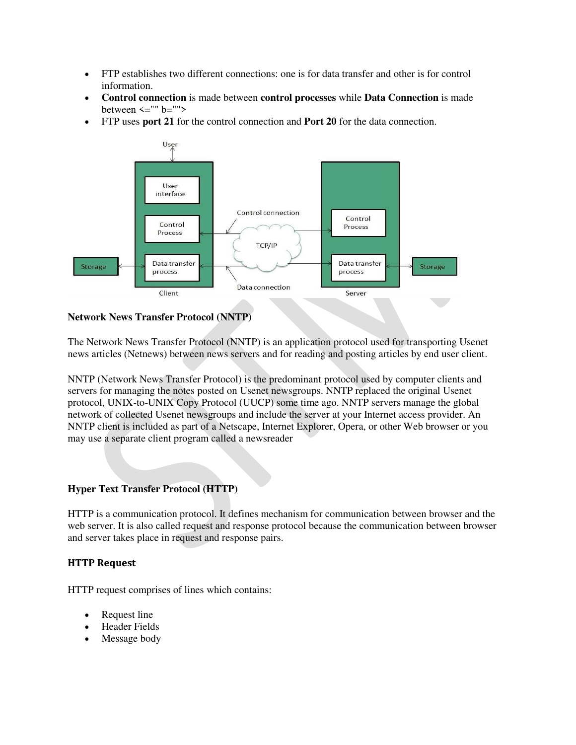- FTP establishes two different connections: one is for data transfer and other is for control information.
- **Control connection** is made between **control processes** while **Data Connection** is made between  $\leq$ "" b="">
- FTP uses **port 21** for the control connection and **Port 20** for the data connection.



### **Network News Transfer Protocol (NNTP)**

The Network News Transfer Protocol (NNTP) is an application protocol used for transporting Usenet news articles (Netnews) between news servers and for reading and posting articles by end user client.

NNTP (Network News Transfer Protocol) is the predominant [protocol](http://searchnetworking.techtarget.com/definition/protocol) used by computer clients and servers for managing the notes posted on [Usenet](http://searchnetworking.techtarget.com/definition/Usenet) [newsgroups](http://searchexchange.techtarget.com/definition/newsgroup). NNTP replaced the original Usenet protocol, UNIX-to-UNIX Copy Protocol [\(UUCP\)](http://searchnetworking.techtarget.com/definition/UUCP) some time ago. NNTP servers manage the global network of collected Usenet newsgroups and include the server at your Internet access provider. An NNTP client is included as part of a Netscape, Internet Explorer, Opera, or other Web browser or you may use a separate client program called a newsreader

### **Hyper Text Transfer Protocol (HTTP)**

HTTP is a communication protocol. It defines mechanism for communication between browser and the web server. It is also called request and response protocol because the communication between browser and server takes place in request and response pairs.

### **HTTP Request**

HTTP request comprises of lines which contains:

- Request line
- Header Fields
- Message body